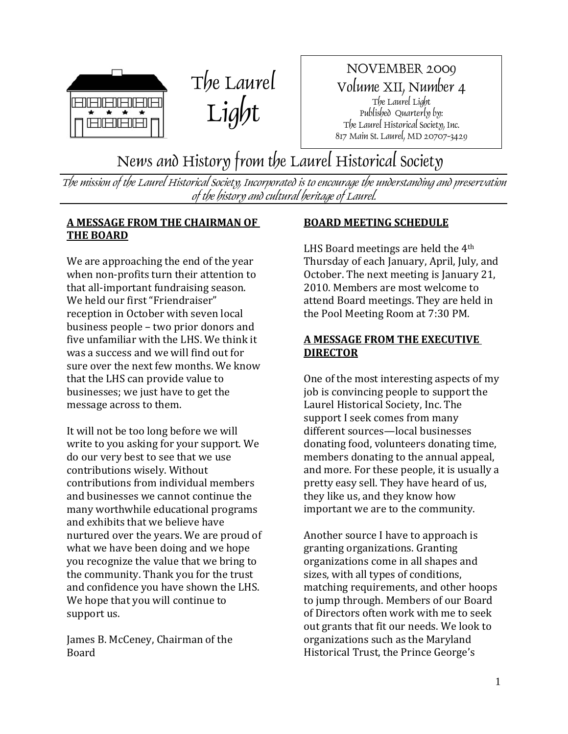



NOVEMBER 2009 Volume XII, Number 4 The Laurel Light Published Quarterly by: The Laurel Historical Society, Inc. 817 Main St. Laurel, MD 20707-3429

## News and History from the Laurel Historical Society

The mission of the Laurel Historical Society, Incorporated is to encourage the understanding and preservation of the history and cultural heritage of Laurel.

## **A MESSAGE FROM THE CHAIRMAN OF THE BOARD**

We are approaching the end of the year when non-profits turn their attention to that all‐important fundraising season. We held our first "Friendraiser" reception in October with seven local business people – two prior donors and five unfamiliar with the LHS. We think it was a success and we will find out for sure over the next few months. We know that the LHS can provide value to businesses; we just have to get the message across to them.

It will not be too long before we will write to you asking for your support. We do our very best to see that we use contributions wisely. Without contributions from individual members and businesses we cannot continue the many worthwhile educational programs and exhibits that we believe have nurtured over the years. We are proud of what we have been doing and we hope you recognize the value that we bring to the community. Thank you for the trust and confidence you have shown the LHS. We hope that you will continue to support us.

James B. McCeney, Chairman of the Board

## **BOARD MEETING SCHEDULE**

LHS Board meetings are held the  $4<sup>th</sup>$ Thursday of each January, April, July, and October. The next meeting is January 21, 2010. Members are most welcome to attend Board meetings. They are held in the Pool Meeting Room at 7:30 PM.

## **A MESSAGE FROM THE EXECUTIVE DIRECTOR**

One of the most interesting aspects of my job is convincing people to support the Laurel Historical Society, Inc. The support I seek comes from many different sources—local businesses donating food, volunteers donating time, members donating to the annual appeal, and more. For these people, it is usually a pretty easy sell. They have heard of us, they like us, and they know how important we are to the community.

Another source I have to approach is granting organizations. Granting organizations come in all shapes and sizes, with all types of conditions, matching requirements, and other hoops to jump through. Members of our Board of Directors often work with me to seek out grants that fit our needs. We look to organizations such as the Maryland Historical Trust, the Prince George's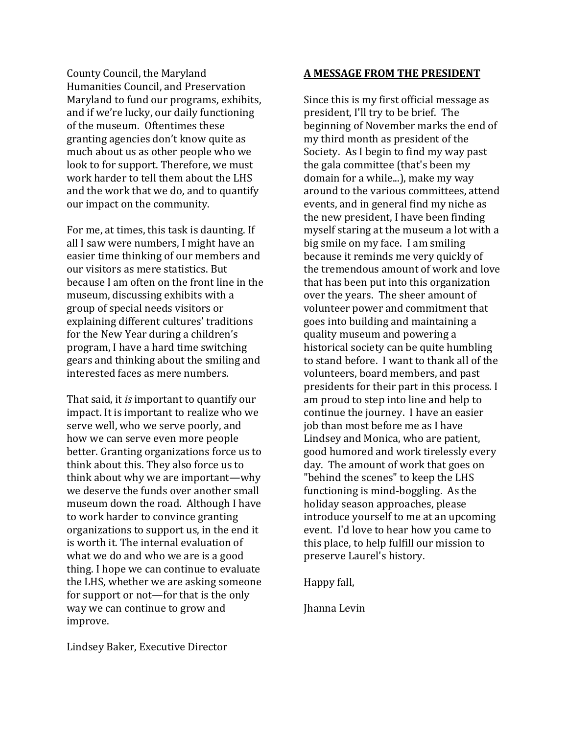County Council, the Maryland Humanities Council, and Preservation Maryland to fund our programs, exhibits, and if we're lucky, our daily functioning of the museum. Oftentimes these granting agencies don't know quite as much about us as other people who we look to for support. Therefore, we must work harder to tell them about the LHS and the work that we do, and to quantify our impact on the community.

For me, at times, this task is daunting. If all I saw were numbers, I might have an easier time thinking of our members and our visitors as mere statistics. But because I am often on the front line in the museum, discussing exhibits with a group of special needs visitors or explaining different cultures' traditions for the New Year during a children's program, I have a hard time switching gears and thinking about the smiling and interested faces as mere numbers.

That said, it *is* important to quantify our impact. It is important to realize who we serve well, who we serve poorly, and how we can serve even more people better. Granting organizations force us to think about this. They also force us to think about why we are important—why we deserve the funds over another small museum down the road. Although I have to work harder to convince granting organizations to support us, in the end it is worth it. The internal evaluation of what we do and who we are is a good thing. I hope we can continue to evaluate the LHS, whether we are asking someone for support or not—for that is the only way we can continue to grow and improve.

#### **A MESSAGE FROM THE PRESIDENT**

Since this is my first official message as president, I'll try to be brief. The beginning of November marks the end of my third month as president of the Society. As I begin to find my way past the gala committee (that's been my domain for a while...), make my way around to the various committees, attend events, and in general find my niche as the new president, I have been finding myself staring at the museum a lot with a big smile on my face. I am smiling because it reminds me very quickly of the tremendous amount of work and love that has been put into this organization over the years. The sheer amount of volunteer power and commitment that goes into building and maintaining a quality museum and powering a historical society can be quite humbling to stand before. I want to thank all of the volunteers, board members, and past presidents for their part in this process. I am proud to step into line and help to continue the journey. I have an easier job than most before me as I have Lindsey and Monica, who are patient, good humored and work tirelessly every day. The amount of work that goes on "behind the scenes" to keep the LHS functioning is mind‐boggling. As the holiday season approaches, please introduce yourself to me at an upcoming event. I'd love to hear how you came to this place, to help fulfill our mission to preserve Laurel's history.

Happy fall,

Jhanna Levin

Lindsey Baker, Executive Director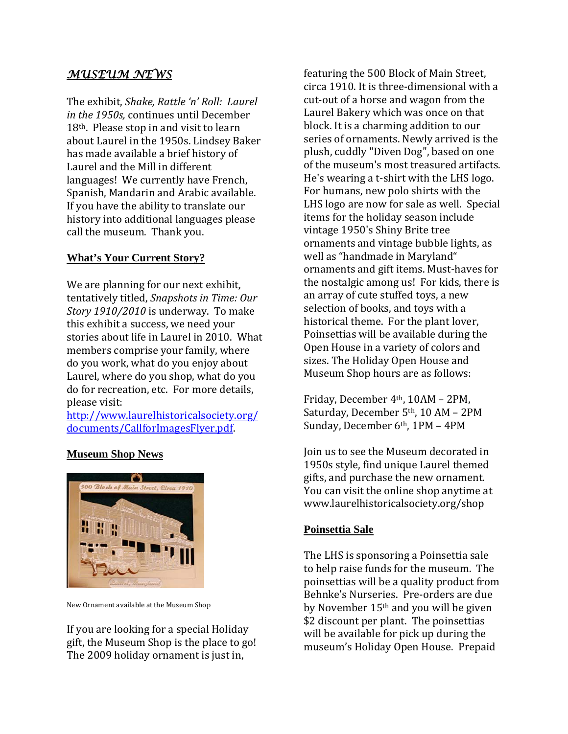## *MUSEUM NEWS*

The exhibit, *Shake, Rattle 'n' Roll: Laurel in the 1950s,* continues until December 18th. Please stop in and visit to learn about Laurel in the 1950s. Lindsey Baker has made available a brief history of Laurel and the Mill in different languages! We currently have French, Spanish, Mandarin and Arabic available. If you have the ability to translate our history into additional languages please call the museum. Thank you.

## **What's Your Current Story?**

We are planning for our next exhibit, tentatively titled, *Snapshots in Time: Our Story 1910/2010* is underway. To make this exhibit a success, we need your stories about life in Laurel in 2010. What members comprise your family, where do you work, what do you enjoy about Laurel, where do you shop, what do you do for recreation, etc. For more details, please visit:

[http://www.laurelhistoricalsociety.org/](http://www.laurelhistoricalsociety.org/documents/CallforImagesFlyer.pdf) documents/CallforImagesFlyer.pdf.

## **Museum Shop News**



New Ornament available at the Museum Shop

If you are looking for a special Holiday gift, the Museum Shop is the place to go! The 2009 holiday ornament is just in,

featuring the 500 Block of Main Street, circa 1910. It is three‐dimensional with a cut-out of a horse and wagon from the Laurel Bakery which was once on that block. It is a charming addition to our series of ornaments. Newly arrived is the plush, cuddly "Diven Dog", based on one of the museum's most treasured artifacts. He's wearing a t‐shirt with the LHS logo. For humans, new polo shirts with the LHS logo are now for sale as well. Special items for the holiday season include vintage 1950's Shiny Brite tree ornaments and vintage bubble lights, as well as "handmade in Maryland" ornaments and gift items. Must‐haves for the nostalgic among us! For kids, there is an array of cute stuffed toys, a new selection of books, and toys with a historical theme. For the plant lover, Poinsettias will be available during the Open House in a variety of colors and sizes. The Holiday Open House and Museum Shop hours are as follows:

Friday, December 4th, 10AM – 2PM, Saturday, December 5th, 10 AM – 2PM Sunday, December 6th, 1PM - 4PM

Join us to see the Museum decorated in 1950s style, find unique Laurel themed gifts, and purchase the new ornament. You can visit the online shop anytime at www.laurelhistoricalsociety.org/shop

## **Poinsettia Sale**

The LHS is sponsoring a Poinsettia sale to help raise funds for the museum. The poinsettias will be a quality product from Behnke's Nurseries. Pre‐orders are due by November 15th and you will be given \$2 discount per plant. The poinsettias will be available for pick up during the museum's Holiday Open House. Prepaid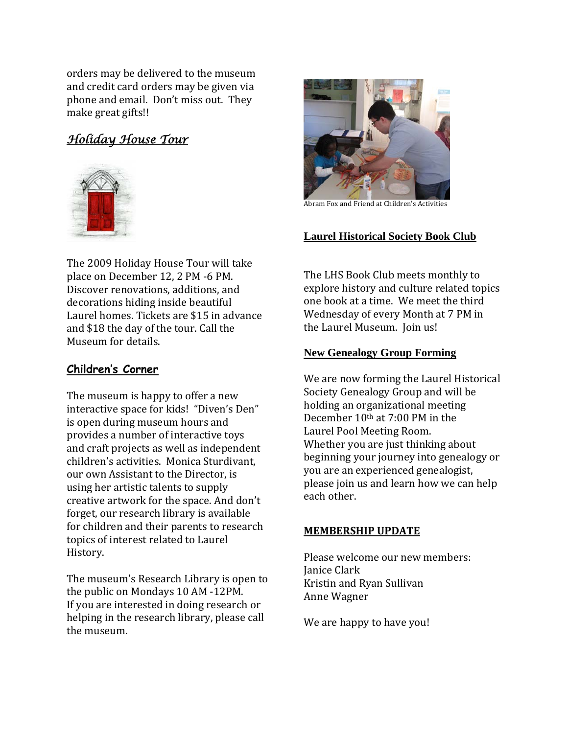orders may be delivered to the museum and credit card orders may be given via phone and email. Don't miss out. They make great gifts!!

## *Holiday House Tour*



The 2009 Holiday House Tour will take place on December 12, 2 PM ‐6 PM. Discover renovations, additions, and decorations hiding inside beautiful Laurel homes. Tickets are \$15 in advance and \$18 the day of the tour. Call the Museum for details.

## **Children's Corner**

The museum is happy to offer a new interactive space for kids! "Diven's Den" is open during museum hours and provides a number of interactive toys and craft projects as well as independent children's activities. Monica Sturdivant, our own Assistant to the Director, is using her artistic talents to supply creative artwork for the space. And don't forget, our research library is available for children and their parents to research topics of interest related to Laurel History.

The museum's Research Library is open to the public on Mondays 10 AM ‐12PM. If you are interested in doing research or helping in the research library, please call he museum. t



Abram Fox and Friend at Children's Activities

## **Laurel Historical Society Book Club**

The LHS Book Club meets monthly to explore history and culture related topics one book at a time. We meet the third Wednesday of every Month at 7 PM in the Laurel Museum. Join us!

## **New Genealogy Group Forming**

We are now forming the Laurel Historical Society Genealogy Group and will be holding an organizational meeting December 10th at 7:00 PM in the Laurel Pool Meeting Room. Whether you are just thinking about beginning your journey into genealogy or you are an experienced genealogist, please join us and learn how we can help each other.

## **MEMBERSHIP UPDATE**

Please welcome our new members: Kristin and Ryan Sullivan Janice Clark Anne Wagner

We are happy to have you!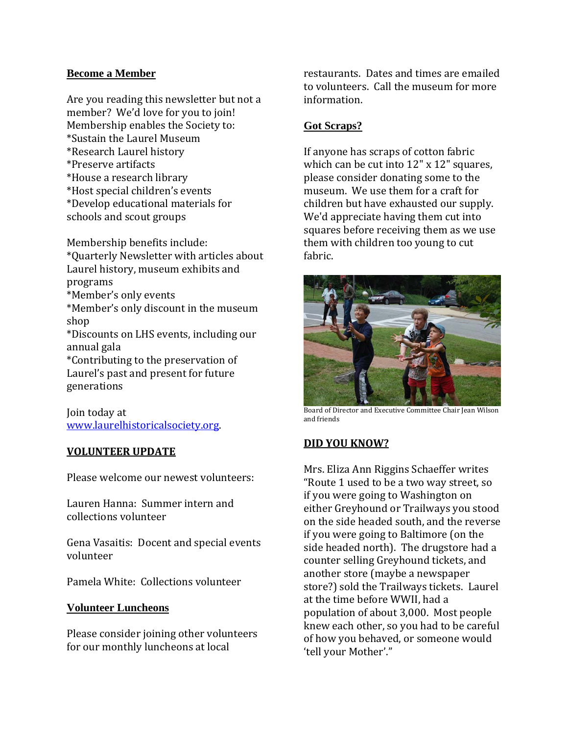## **Become a Member**

Are you reading this newsletter but not a member? We'd love for you to join! Membership enables the Society to: \*Sustain the Laurel Museum \*Research Laurel history \*Preserve artifacts \*House a research library \*Host special children's events \*Develop educational materials for schools and scout groups

Membership benefits include: \*Quarterly Newsletter with articles about Laurel history, museum exhibits and programs \*Member's only events \*Member's only discount in the museum shop \*Discounts on LHS events, including our annual gala \*Contributing to the preservation of Laurel's past and present for future generations

Join today at [www.laurelhistoricalsociety.org](http://www.laurelhistoricalsociety.org/).

#### **VOLUNTEER UPDATE**

Please welcome our newest volunteers:

Lauren Hanna: Summer intern and collections volunteer

Gena Vasaitis: Docent and special events volunteer

Pamela White: Collections volunteer

#### **Volunteer Luncheons**

Please consider joining other volunteers for our monthly luncheons at local

restaurants. Dates and times are emailed to volunteers. Call the museum for more information.

#### **Got Scraps?**

If anyone has scraps of cotton fabric which can be cut into 12" x 12" squares, please consider donating some to the museum. We use them for a craft for children but have exhausted our supply. We'd appreciate having them cut into squares before receiving them as we use them with children too young to cut fabric.



Board of Director and Executive Committee Chair Jean Wilson and friends

#### **DID YOU KNOW?**

Mrs. Eliza Ann Riggins Schaeffer writes "Route 1 used to be a two way street, so if you were going to Washington on either Greyhound or Trailways you stood on the side headed south, and the reverse if you were going to Baltimore (on the side headed north). The drugstore had a counter selling Greyhound tickets, and another store (maybe a newspaper store?) sold the Trailways tickets. Laurel at the time before WWII, had a population of about 3,000. Most people knew each other, so you had to be careful of how you behaved, or someone would 'tell your Mother'."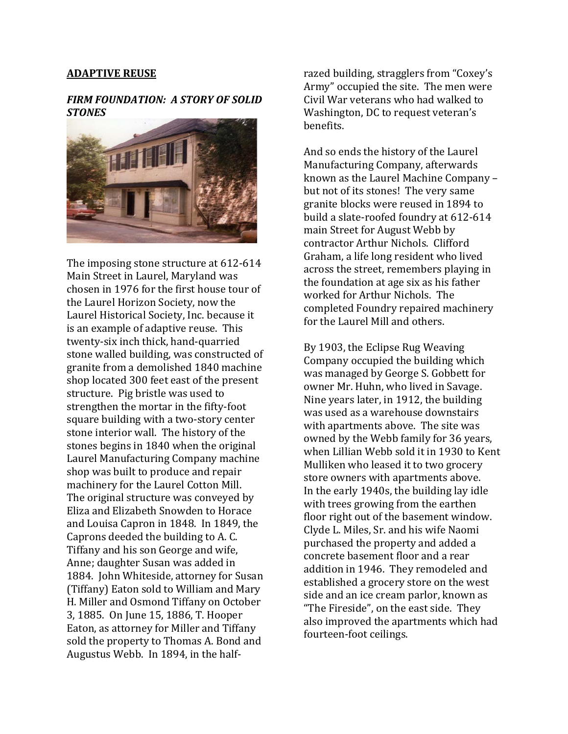#### **ADAPTIVE REUSE**

#### *FIRM FOUNDATION: A STORY OF SOLID STONES*



The imposing stone structure at 612-614 Main Street in Laurel, Maryland was chosen in 1976 for the first house tour of the Laurel Horizon Society, now the Laurel Historical Society, Inc. because it is an example of adaptive reuse. This twenty‐six inch thick, hand‐quarried stone walled building, was constructed of granite from a demolished 1840 machine shop located 300 feet east of the present structure. Pig bristle was used to strengthen the mortar in the fifty‐foot square building with a two‐story center stone interior wall. The history of the stones begins in 1840 when the original Laurel Manufacturing Company machine shop was built to produce and repair machinery for the Laurel Cotton Mill. The original structure was conveyed by Eliza and Elizabeth Snowden to Horace and Louisa Capron in 1848. In 1849, the Caprons deeded the building to A. C. Tiffany and his son George and wife, Anne; daughter Susan was added in 1884. John Whiteside, attorney for Susan (Tiffany) Eaton sold to William and Mary H. Miller and Osmond Tiffany on October 3, 1885. On June 15, 1886, T. Hooper Eaton, as attorney for Miller and Tiffany sold the property to Thomas A. Bond and Augustus Webb. In 1894, in the half‐

razed building, stragglers from "Coxey's Army" occupied the site. The men were Civil War veterans who had walked to Washington, DC to request veteran's benefits.

And so ends the history of the Laurel Manufacturing Company, afterwards known as the Laurel Machine Company – but not of its stones! The very same granite blocks were reused in 1894 to build a slate‐roofed foundry at 612‐614 main Street for August Webb by contractor Arthur Nichols. Clifford Graham, a life long resident who lived across the street, remembers playing in the foundation at age six as his father worked for Arthur Nichols. The completed Foundry repaired machinery for the Laurel Mill and others.

By 1903, the Eclipse Rug Weaving Company occupied the building which was managed by George S. Gobbett for owner Mr. Huhn, who lived in Savage. Nine years later, in 1912, the building was used as a warehouse downstairs with apartments above. The site was owned by the Webb family for 36 years, when Lillian Webb sold it in 1930 to Kent Mulliken who leased it to two grocery store owners with apartments above. In the early 1940s, the building lay idle with trees growing from the earthen floor right out of the basement window. Clyde L. Miles, Sr. and his wife Naomi purchased the property and added a concrete basement floor and a rear addition in 1946. They remodeled and established a grocery store on the west side and an ice cream parlor, known as "The Fireside", on the east side. They also improved the apartments which had fourteen-foot ceilings.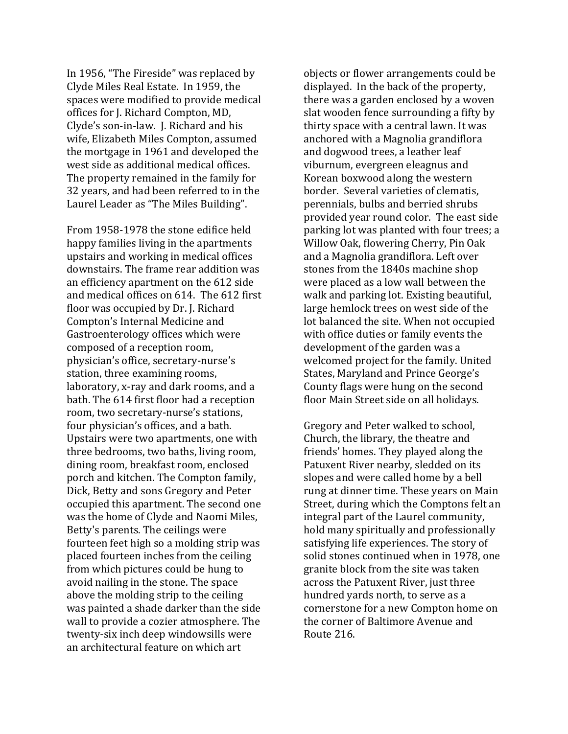In 1956, "The Fireside" was replaced by Clyde Miles Real Estate. In 1959, the spaces were modified to provide medical offices for J. Richard Compton, MD, Clyde's son‐in‐law. J. Richard and his wife, Elizabeth Miles Compton, assumed the mortgage in 1961 and developed the west side as additional medical offices. The property remained in the family for 32 years, and had been referred to in the Laurel Leader as "The Miles Building".

From 1958‐1978 the stone edifice held happy families living in the apartments upstairs and working in medical offices downstairs. The frame rear addition was an efficiency apartment on the 612 side and medical offices on 614. The 612 first floor was occupied by Dr. J. Richard Compton's Internal Medicine and Gastroenterology offices which were composed of a reception room, physician's office, secretary‐nurse's station, three examining rooms, laboratory, x‐ray and dark rooms, and a bath. The 614 first floor had a reception room, two secretary‐nurse's stations, four physician's offices, and a bath. Upstairs were two apartments, one with three bedrooms, two baths, living room, dining room, breakfast room, enclosed porch and kitchen. The Compton family, Dick, Betty and sons Gregory and Peter occupied this apartment. The second one was the home of Clyde and Naomi Miles, Betty's parents. The ceilings were fourteen feet high so a molding strip was placed fourteen inches from the ceiling from which pictures could be hung to avoid nailing in the stone. The space above the molding strip to the ceiling was painted a shade darker than the side wall to provide a cozier atmosphere. The twenty‐six inch deep windowsills were an architectural feature on which art

objects or flower arrangements could be displayed. In the back of the property, there was a garden enclosed by a woven slat wooden fence surrounding a fifty by thirty space with a central lawn. It was anchored with a Magnolia grandiflora and dogwood trees, a leather leaf viburnum, evergreen eleagnus and Korean boxwood along the western border. Several varieties of clematis, perennials, bulbs and berried shrubs provided year round color. The east side parking lot was planted with four trees; a Willow Oak, flowering Cherry, Pin Oak and a Magnolia grandiflora. Left over stones from the 1840s machine shop were placed as a low wall between the walk and parking lot. Existing beautiful, large hemlock trees on west side of the lot balanced the site. When not occupied with office duties or family events the development of the garden was a welcomed project for the family. United States, Maryland and Prince George's County flags were hung on the second . floor Main Street side on all holidays

Gregory and Peter walked to school, Church, the library, the theatre and friends' homes. They played along the Patuxent River nearby, sledded on its slopes and were called home by a bell rung at dinner time. These years on Main Street, during which the Comptons felt an integral part of the Laurel community, hold many spiritually and professionally satisfying life experiences. The story of solid stones continued when in 1978, one granite block from the site was taken across the Patuxent River, just three hundred yards north, to serve as a cornerstone for a new Compton home on the corner of Baltimore Avenue and Route 216.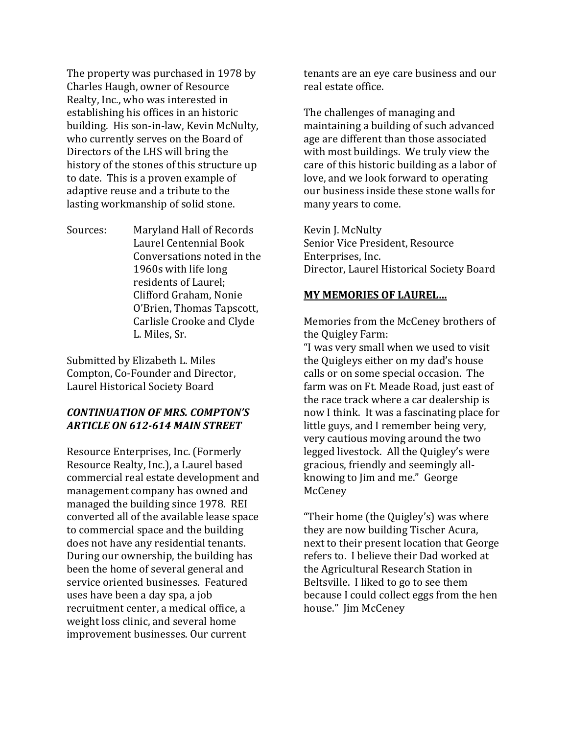The property was purchased in 1978 by Charles Haugh, owner of Resource Realty, Inc., who was interested in establishing his offices in an historic building. His son‐in‐law, Kevin McNulty, who currently serves on the Board of Directors of the LHS will bring the history of the stones of this structure up to date. This is a proven example of adaptive reuse and a tribute to the lasting workmanship of solid stone.

Sources: Maryland Hall of Records Laurel Centennial Book Conversations noted in the 1960s with life long residents of Laurel; Clifford Graham, Nonie O'Brien, Thomas Tapscott, Carlisle Crooke and Clyde L. Miles, Sr.

Submitted by Elizabeth L. Miles Compton, Co-Founder and Director, Laurel Historical Society Board

## *CONTINUATION OF MRS. COMPTON'S ARTICLE ON 612614 MAIN STREET*

Resource Enterprises, Inc. (Formerly Resource Realty, Inc.), a Laurel based commercial real estate development and management company has owned and managed the building since 1978. REI converted all of the available lease space to commercial space and the building does not have any residential tenants. During our ownership, the building has been the home of several general and service oriented businesses. Featured uses have been a day spa, a job recruitment center, a medical office, a weight loss clinic, and several home improvement businesses. Our current

tenants are an eye care business and our real estate office.

The challenges of managing and maintaining a building of such advanced age are different than those associated with most buildings. We truly view the care of this historic building as a labor of love, and we look forward to operating our business inside these stone walls for many years to come.

Kevin J. McNulty Senior Vice President, Resource Enterprises, Inc. Director, Laurel Historical Society Board

#### **MY MEMORIES OF LAUREL…**

Memories from the McCeney brothers of the Quigley Farm:

"I was very small when we used to visit the Quigleys either on my dad's house calls or on some special occasion. The farm was on Ft. Meade Road, just east of the race track where a car dealership is now I think. It was a fascinating place for little guys, and I remember being very, very cautious moving around the two legged livestock. All the Quigley's were gracious, friendly and seemingly all‐ knowing to Jim and me." George McCeney

"Their home (the Quigley's) was where they are now building Tischer Acura, next to their present location that George refers to. I believe their Dad worked at the Agricultural Research Station in Beltsville. I liked to go to see them because I could collect eggs from the hen house." Jim McCeney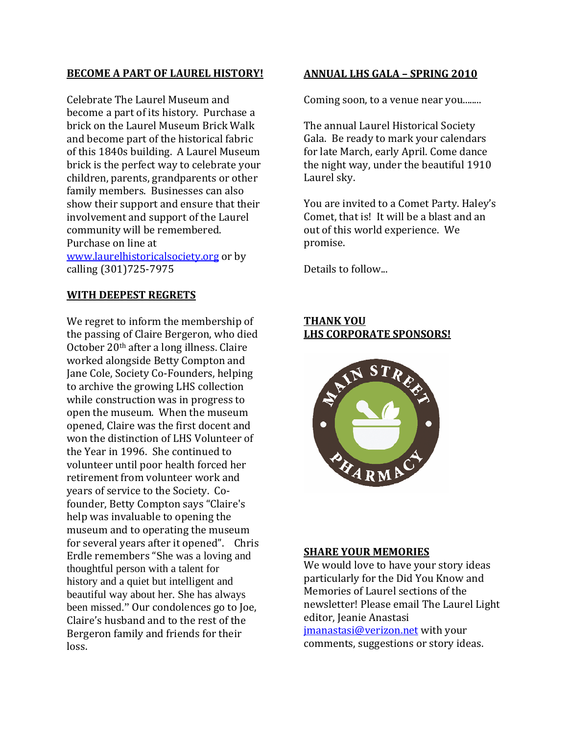#### **BECOME A PART OF LAUREL HISTORY!**

Celebrate The Laurel Museum and become a part of its history. Purchase a brick on the Laurel Museum Brick Walk and become part of the historical fabric of this 1840s building. A Laurel Museum brick is the perfect way to celebrate your children, parents, grandparents or other family members. Businesses can also show their support and ensure that their involvement and support of the Laurel community will be remembered. Purchase on line at [www.laurelhistoricalsociety.org](http://www.laurelhistoricalsociety.org/) or by calling (301)725‐7975

## **WITH DEEPEST REGRETS**

We regret to inform the membership of the passing of Claire Bergeron, who died October 20th after a long illness. Claire worked alongside Betty Compton and Jane Cole, Society Co‐Founders, helping to archive the growing LHS collection while construction was in progress to open the museum. When the museum opened, Claire was the first docent and won the distinction of LHS Volunteer of the Year in 1996. She continued to volunteer until poor health forced her retirement from volunteer work and years of service to the Society. Co‐ founder, Betty Compton says "Claire's help was invaluable to opening the museum and to operating the museum for several years after it opened". Chris Erdle remembers "She was a loving and thoughtful person with a talent for history and a quiet but intelligent and beautiful way about her. She has always been missed." Our condolences go to Joe, Claire's husband and to the rest of the Bergeron family and friends for their loss.

#### **ANNUAL LHS GALA – SPRING 2010**

Coming soon, to a venue near you........

The annual Laurel Historical Society Gala. Be ready to mark your calendars for late March, early April. Come dance the night way, under the beautiful 1910 Laurel sky.

You are invited to a Comet Party. Haley's Comet, that is! It will be a blast and an out of this world experience. We promise.

Details to follow...

#### **THANK YOU LHS CORPORATE SPONSORS!**



#### **SHARE YOUR MEMORIES**

We would love to have your story ideas particularly for the Did You Know and Memories of Laurel sections of the newsletter! Please email The Laurel Light editor, Jeanie Anastasi [jmanastasi@verizon.net](mailto:jmanastasi@verizon.net) with your comments, suggestions or story ideas.